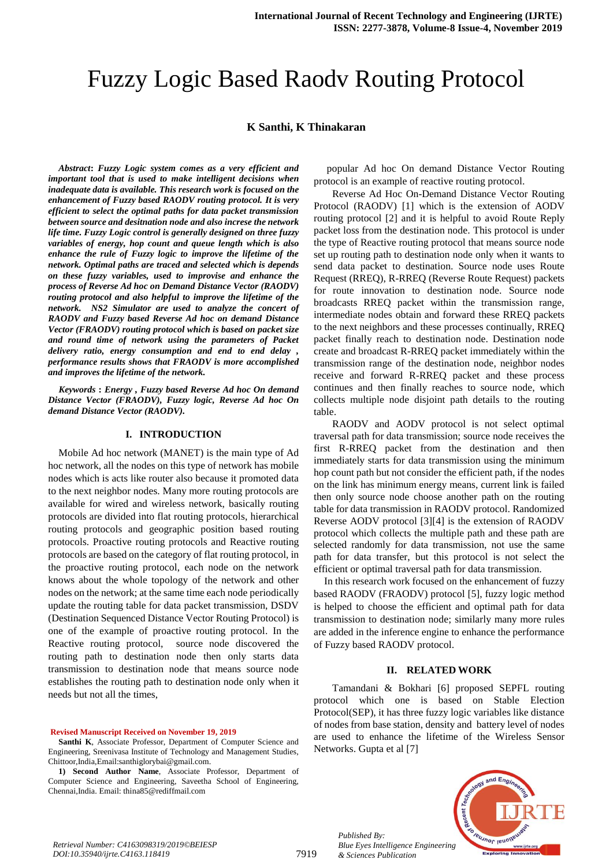# Fuzzy Logic Based Raodv Routing Protocol

## **K Santhi, K Thinakaran**

*Abstract***:** *Fuzzy Logic system comes as a very efficient and important tool that is used to make intelligent decisions when inadequate data is available. This research work is focused on the enhancement of Fuzzy based RAODV routing protocol. It is very efficient to select the optimal paths for data packet transmission between source and desitnation node and also increse the network life time. Fuzzy Logic control is generally designed on three fuzzy variables of energy, hop count and queue length which is also enhance the rule of Fuzzy logic to improve the lifetime of the network. Optimal paths are traced and selected which is depends on these fuzzy variables, used to improvise and enhance the process of Reverse Ad hoc on Demand Distance Vector (RAODV) routing protocol and also helpful to improve the lifetime of the network. NS2 Simulator are used to analyze the concert of RAODV and Fuzzy based Reverse Ad hoc on demand Distance Vector (FRAODV) routing protocol which is based on packet size and round time of network using the parameters of Packet delivery ratio, energy consumption and end to end delay , performance results shows that FRAODV is more accomplished and improves the lifetime of the network.*

*Keywords* **:** *Energy , Fuzzy based Reverse Ad hoc On demand Distance Vector (FRAODV), Fuzzy logic, Reverse Ad hoc On demand Distance Vector (RAODV).*

## **I. INTRODUCTION**

Mobile Ad hoc network (MANET) is the main type of Ad hoc network, all the nodes on this type of network has mobile nodes which is acts like router also because it promoted data to the next neighbor nodes. Many more routing protocols are available for wired and wireless network, basically routing protocols are divided into flat routing protocols, hierarchical routing protocols and geographic position based routing protocols. Proactive routing protocols and Reactive routing protocols are based on the category of flat routing protocol, in the proactive routing protocol, each node on the network knows about the whole topology of the network and other nodes on the network; at the same time each node periodically update the routing table for data packet transmission, DSDV (Destination Sequenced Distance Vector Routing Protocol) is one of the example of proactive routing protocol. In the Reactive routing protocol, source node discovered the routing path to destination node then only starts data transmission to destination node that means source node establishes the routing path to destination node only when it needs but not all the times,

#### **Revised Manuscript Received on November 19, 2019**

**1) Second Author Name**, Associate Professor, Department of Computer Science and Engineering, Saveetha School of Engineering, Chennai,India. Email: thina85@rediffmail.com

popular Ad hoc On demand Distance Vector Routing protocol is an example of reactive routing protocol.

Reverse Ad Hoc On-Demand Distance Vector Routing Protocol (RAODV) [1] which is the extension of AODV routing protocol [2] and it is helpful to avoid Route Reply packet loss from the destination node. This protocol is under the type of Reactive routing protocol that means source node set up routing path to destination node only when it wants to send data packet to destination. Source node uses Route Request (RREQ), R-RREQ (Reverse Route Request) packets for route innovation to destination node. Source node broadcasts RREQ packet within the transmission range, intermediate nodes obtain and forward these RREQ packets to the next neighbors and these processes continually, RREQ packet finally reach to destination node. Destination node create and broadcast R-RREQ packet immediately within the transmission range of the destination node, neighbor nodes receive and forward R-RREQ packet and these process continues and then finally reaches to source node, which collects multiple node disjoint path details to the routing table.

RAODV and AODV protocol is not select optimal traversal path for data transmission; source node receives the first R-RREQ packet from the destination and then immediately starts for data transmission using the minimum hop count path but not consider the efficient path, if the nodes on the link has minimum energy means, current link is failed then only source node choose another path on the routing table for data transmission in RAODV protocol. Randomized Reverse AODV protocol [3][4] is the extension of RAODV protocol which collects the multiple path and these path are selected randomly for data transmission, not use the same path for data transfer, but this protocol is not select the efficient or optimal traversal path for data transmission.

In this research work focused on the enhancement of fuzzy based RAODV (FRAODV) protocol [5], fuzzy logic method is helped to choose the efficient and optimal path for data transmission to destination node; similarly many more rules are added in the inference engine to enhance the performance of Fuzzy based RAODV protocol.

#### **II. RELATED WORK**

Tamandani & Bokhari [6] proposed SEPFL routing protocol which one is based on Stable Election Protocol(SEP), it has three fuzzy logic variables like distance of nodes from base station, density and battery level of nodes are used to enhance the lifetime of the Wireless Sensor Networks. Gupta et al [7]



*Retrieval Number: C4163098319/2019©BEIESP DOI:10.35940/ijrte.C4163.118419*

*Published By:*

**Santhi K**, Associate Professor, Department of Computer Science and Engineering, Sreenivasa Institute of Technology and Management Studies, Chittoor,India,Email:santhiglorybai@gmail.com.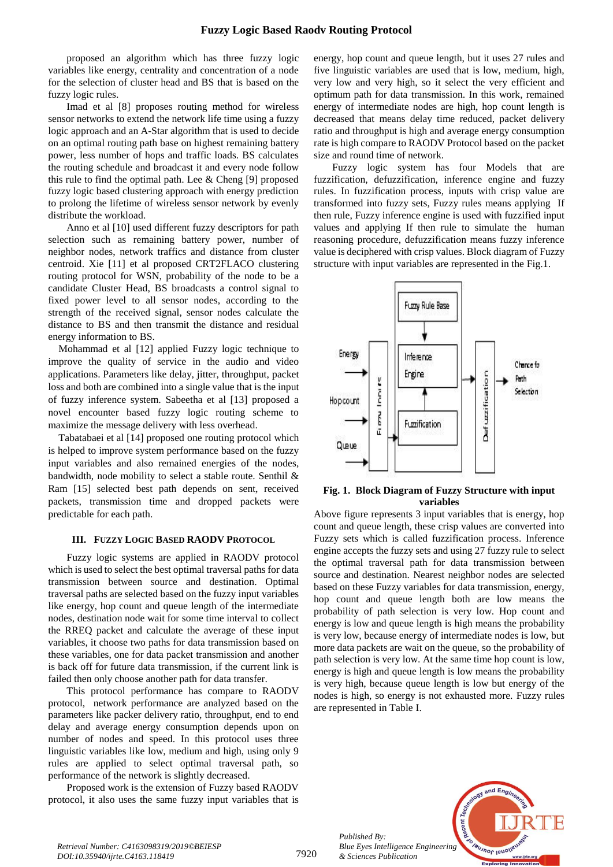proposed an algorithm which has three fuzzy logic variables like energy, centrality and concentration of a node for the selection of cluster head and BS that is based on the fuzzy logic rules.

Imad et al [8] proposes routing method for wireless sensor networks to extend the network life time using a fuzzy logic approach and an A-Star algorithm that is used to decide on an optimal routing path base on highest remaining battery power, less number of hops and traffic loads. BS calculates the routing schedule and broadcast it and every node follow this rule to find the optimal path. Lee & Cheng [9] proposed fuzzy logic based clustering approach with energy prediction to prolong the lifetime of wireless sensor network by evenly distribute the workload.

Anno et al [10] used different fuzzy descriptors for path selection such as remaining battery power, number of neighbor nodes, network traffics and distance from cluster centroid. Xie [11] et al proposed CRT2FLACO clustering routing protocol for WSN, probability of the node to be a candidate Cluster Head, BS broadcasts a control signal to fixed power level to all sensor nodes, according to the strength of the received signal, sensor nodes calculate the distance to BS and then transmit the distance and residual energy information to BS.

Mohammad et al [12] applied Fuzzy logic technique to improve the quality of service in the audio and video applications. Parameters like delay, jitter, throughput, packet loss and both are combined into a single value that is the input of fuzzy inference system. Sabeetha et al [13] proposed a novel encounter based fuzzy logic routing scheme to maximize the message delivery with less overhead.

Tabatabaei et al [14] proposed one routing protocol which is helped to improve system performance based on the fuzzy input variables and also remained energies of the nodes, bandwidth, node mobility to select a stable route. Senthil & Ram [15] selected best path depends on sent, received packets, transmission time and dropped packets were predictable for each path.

## **III. FUZZY LOGIC BASED RAODV PROTOCOL**

Fuzzy logic systems are applied in RAODV protocol which is used to select the best optimal traversal paths for data transmission between source and destination. Optimal traversal paths are selected based on the fuzzy input variables like energy, hop count and queue length of the intermediate nodes, destination node wait for some time interval to collect the RREQ packet and calculate the average of these input variables, it choose two paths for data transmission based on these variables, one for data packet transmission and another is back off for future data transmission, if the current link is failed then only choose another path for data transfer.

This protocol performance has compare to RAODV protocol, network performance are analyzed based on the parameters like packer delivery ratio, throughput, end to end delay and average energy consumption depends upon on number of nodes and speed. In this protocol uses three linguistic variables like low, medium and high, using only 9 rules are applied to select optimal traversal path, so performance of the network is slightly decreased.

Proposed work is the extension of Fuzzy based RAODV protocol, it also uses the same fuzzy input variables that is energy, hop count and queue length, but it uses 27 rules and five linguistic variables are used that is low, medium, high, very low and very high, so it select the very efficient and optimum path for data transmission. In this work, remained energy of intermediate nodes are high, hop count length is decreased that means delay time reduced, packet delivery ratio and throughput is high and average energy consumption rate is high compare to RAODV Protocol based on the packet size and round time of network.

Fuzzy logic system has four Models that are fuzzification, defuzzification, inference engine and fuzzy rules. In fuzzification process, inputs with crisp value are transformed into fuzzy sets, Fuzzy rules means applying If then rule, Fuzzy inference engine is used with fuzzified input values and applying If then rule to simulate the human reasoning procedure, defuzzification means fuzzy inference value is deciphered with crisp values. Block diagram of Fuzzy structure with input variables are represented in the Fig.1.



**Fig. 1. Block Diagram of Fuzzy Structure with input variables**

Above figure represents 3 input variables that is energy, hop count and queue length, these crisp values are converted into Fuzzy sets which is called fuzzification process. Inference engine accepts the fuzzy sets and using 27 fuzzy rule to select the optimal traversal path for data transmission between source and destination. Nearest neighbor nodes are selected based on these Fuzzy variables for data transmission, energy, hop count and queue length both are low means the probability of path selection is very low. Hop count and energy is low and queue length is high means the probability is very low, because energy of intermediate nodes is low, but more data packets are wait on the queue, so the probability of path selection is very low. At the same time hop count is low, energy is high and queue length is low means the probability is very high, because queue length is low but energy of the nodes is high, so energy is not exhausted more. Fuzzy rules are represented in Table I.



*Retrieval Number: C4163098319/2019©BEIESP DOI:10.35940/ijrte.C4163.118419*

7920

*Published By:*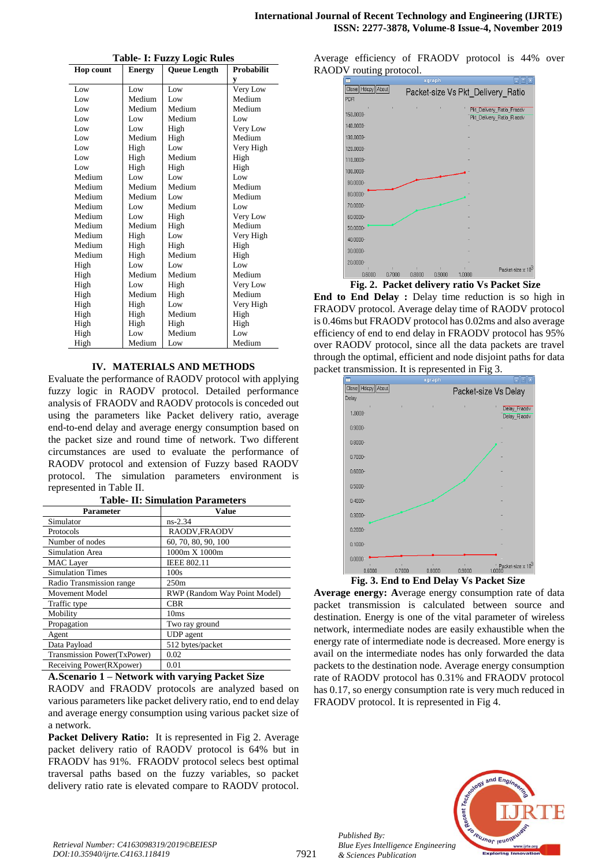| <b>Hop count</b> | Energy | TADIC- 1. I UZZY LOGIC IXURS<br><b>Queue Length</b> | Probabilit |
|------------------|--------|-----------------------------------------------------|------------|
|                  |        |                                                     | y          |
| Low              | Low    | Low                                                 | Very Low   |
| Low              | Medium | Low                                                 | Medium     |
| Low              | Medium | Medium                                              | Medium     |
| Low              | Low    | Medium                                              | Low        |
| Low              | Low    | High                                                | Very Low   |
| Low              | Medium | High                                                | Medium     |
| Low              | High   | Low                                                 | Very High  |
| Low              | High   | Medium                                              | High       |
| Low              | High   | High                                                | High       |
| Medium           | Low    | Low                                                 | Low        |
| Medium           | Medium | Medium                                              | Medium     |
| Medium           | Medium | Low                                                 | Medium     |
| Medium           | Low    | Medium                                              | Low        |
| Medium           | Low    | High                                                | Very Low   |
| Medium           | Medium | High                                                | Medium     |
| Medium           | High   | Low                                                 | Very High  |
| Medium           | High   | High                                                | High       |
| Medium           | High   | Medium                                              | High       |
| High             | Low    | Low                                                 | Low        |
| High             | Medium | Medium                                              | Medium     |
| High             | Low    | High                                                | Very Low   |
| High             | Medium | High                                                | Medium     |
| High             | High   | Low                                                 | Very High  |
| High             | High   | Medium                                              | High       |
| High             | High   | High                                                | High       |
| High             | Low    | Medium                                              | Low        |
| High             | Medium | Low                                                 | Medium     |

**Table- I: Fuzzy Logic Rules**

## **IV. MATERIALS AND METHODS**

Evaluate the performance of RAODV protocol with applying fuzzy logic in RAODV protocol. Detailed performance analysis of FRAODV and RAODV protocols is conceded out using the parameters like Packet delivery ratio, average end-to-end delay and average energy consumption based on the packet size and round time of network. Two different circumstances are used to evaluate the performance of RAODV protocol and extension of Fuzzy based RAODV protocol. The simulation parameters environment is represented in Table II.

| Parameter                   | Value                        |  |  |  |
|-----------------------------|------------------------------|--|--|--|
| Simulator                   | $ns-2.34$                    |  |  |  |
| Protocols                   | RAODV, FRAODV                |  |  |  |
| Number of nodes             | 60, 70, 80, 90, 100          |  |  |  |
| <b>Simulation Area</b>      | 1000m X 1000m                |  |  |  |
| <b>MAC</b> Layer            | <b>IEEE 802.11</b>           |  |  |  |
| <b>Simulation Times</b>     | 100s                         |  |  |  |
| Radio Transmission range    | 250m                         |  |  |  |
| Movement Model              | RWP (Random Way Point Model) |  |  |  |
| Traffic type                | <b>CBR</b>                   |  |  |  |
| Mobility                    | 10ms                         |  |  |  |
| Propagation                 | Two ray ground               |  |  |  |
| Agent                       | UDP agent                    |  |  |  |
| Data Payload                | 512 bytes/packet             |  |  |  |
| Transmission Power(TxPower) | 0.02                         |  |  |  |
| Receiving Power(RXpower)    | 0.01                         |  |  |  |

**A.Scenario 1 – Network with varying Packet Size** RAODV and FRAODV protocols are analyzed based on various parameters like packet delivery ratio, end to end delay and average energy consumption using various packet size of a network.

Packet Delivery Ratio: It is represented in Fig 2. Average packet delivery ratio of RAODV protocol is 64% but in FRAODV has 91%. FRAODV protocol selecs best optimal traversal paths based on the fuzzy variables, so packet delivery ratio rate is elevated compare to RAODV protocol.

Average efficiency of FRAODV protocol is 44% over RAODV routing protocol.



 **Fig. 2. Packet delivery ratio Vs Packet Size**

**End to End Delay :** Delay time reduction is so high in FRAODV protocol. Average delay time of RAODV protocol is 0.46ms but FRAODV protocol has 0.02ms and also average efficiency of end to end delay in FRAODV protocol has 95% over RAODV protocol, since all the data packets are travel through the optimal, efficient and node disjoint paths for data packet transmission. It is represented in Fig 3.



**Average energy: A**verage energy consumption rate of data packet transmission is calculated between source and destination. Energy is one of the vital parameter of wireless network, intermediate nodes are easily exhaustible when the energy rate of intermediate node is decreased. More energy is avail on the intermediate nodes has only forwarded the data packets to the destination node. Average energy consumption rate of RAODV protocol has 0.31% and FRAODV protocol has 0.17, so energy consumption rate is very much reduced in FRAODV protocol. It is represented in Fig 4.



*Published By:*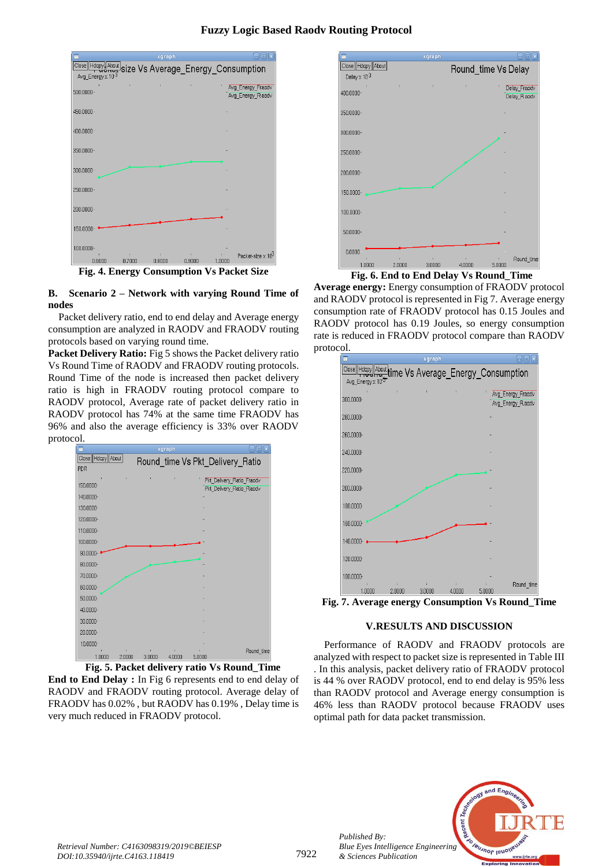# **Fuzzy Logic Based Raodv Routing Protocol**

|                                                                                               |        | xgraph |        |                    | ▣                                     |
|-----------------------------------------------------------------------------------------------|--------|--------|--------|--------------------|---------------------------------------|
| <b>Close  Hdcpy About  size Vs Average_Energy_Consumption</b><br>Avg_Energy x 10 <sup>3</sup> |        |        |        |                    |                                       |
| 500.0000-                                                                                     |        | r      |        |                    | Avg_Energy_Fraodv<br>Avg_Energy_Raodv |
| 450.0000-                                                                                     |        |        |        |                    |                                       |
| 400.0000-                                                                                     |        |        |        |                    |                                       |
| 350.0000-                                                                                     |        |        |        |                    |                                       |
| 300.0000-                                                                                     |        |        |        |                    |                                       |
| 250,0000-                                                                                     |        |        |        |                    |                                       |
| 200.0000-                                                                                     |        |        |        |                    |                                       |
| 150.0000-                                                                                     |        |        |        |                    |                                       |
| 100.0000-<br>0.6000                                                                           | 0.7000 | 0.8000 | 0.9000 |                    | Packet-size x 10 <sup>3</sup>         |
| m.<br>┳                                                                                       |        |        | . .    | 1.0000<br>T 7<br>∽ | $\sim$ $\sim$<br>. .                  |

**Fig. 4. Energy Consumption Vs Packet Size**

**B. Scenario 2 – Network with varying Round Time of nodes**

Packet delivery ratio, end to end delay and Average energy consumption are analyzed in RAODV and FRAODV routing protocols based on varying round time.

Packet Delivery Ratio: Fig 5 shows the Packet delivery ratio Vs Round Time of RAODV and FRAODV routing protocols. Round Time of the node is increased then packet delivery ratio is high in FRAODV routing protocol compare to RAODV protocol, Average rate of packet delivery ratio in RAODV protocol has 74% at the same time FRAODV has 96% and also the average efficiency is 33% over RAODV protocol.

|                   |             |                                | xgraph      |        | $ \vert$ o $\vert$ x                                  |
|-------------------|-------------|--------------------------------|-------------|--------|-------------------------------------------------------|
| Close Hdcpy About |             |                                |             |        | Round_time Vs Pkt_Delivery_Ratio                      |
| PDR               |             |                                |             |        |                                                       |
| ÷<br>150.0000-    | ŧ           | ŧ                              | š           |        | Pkt Delivery Ratio Fraody<br>Pkt Delivery Ratio Raodv |
| 140.0000-         |             |                                |             |        |                                                       |
| 130.0000-         |             |                                |             |        |                                                       |
| 120.0000-         |             |                                |             |        |                                                       |
| 110.0000-         |             |                                |             |        |                                                       |
| 100.0000-         |             |                                |             |        |                                                       |
| $90.0000 -$       |             |                                |             |        |                                                       |
| 80.0000-          |             |                                |             |        |                                                       |
| 70.0000-          |             |                                |             |        |                                                       |
| 60.0000-          |             |                                |             |        |                                                       |
| $50.0000 -$       |             |                                |             |        |                                                       |
| 40.0000-          |             |                                |             |        |                                                       |
| $30.0000 -$       |             |                                |             |        |                                                       |
| 20.0000-          |             |                                |             |        |                                                       |
| 10.0000-          |             |                                |             |        |                                                       |
| 1.0000            | ÷<br>2.0000 | $\ddot{\phantom{a}}$<br>3.0000 | ÷<br>4.0000 | 5.0000 | Round_time                                            |

**Fig. 5. Packet delivery ratio Vs Round\_Time**

**End to End Delay :** In Fig 6 represents end to end delay of RAODV and FRAODV routing protocol. Average delay of FRAODV has 0.02% , but RAODV has 0.19% , Delay time is very much reduced in FRAODV protocol.



**Fig. 6. End to End Delay Vs Round\_Time**

**Average energy:** Energy consumption of FRAODV protocol and RAODV protocol is represented in Fig 7. Average energy consumption rate of FRAODV protocol has 0.15 Joules and RAODV protocol has 0.19 Joules, so energy consumption rate is reduced in FRAODV protocol compare than RAODV protocol.



**Fig. 7. Average energy Consumption Vs Round\_Time**

# **V.RESULTS AND DISCUSSION**

Performance of RAODV and FRAODV protocols are analyzed with respect to packet size is represented in Table III . In this analysis, packet delivery ratio of FRAODV protocol is 44 % over RAODV protocol, end to end delay is 95% less than RAODV protocol and Average energy consumption is 46% less than RAODV protocol because FRAODV uses optimal path for data packet transmission.



*Published By:*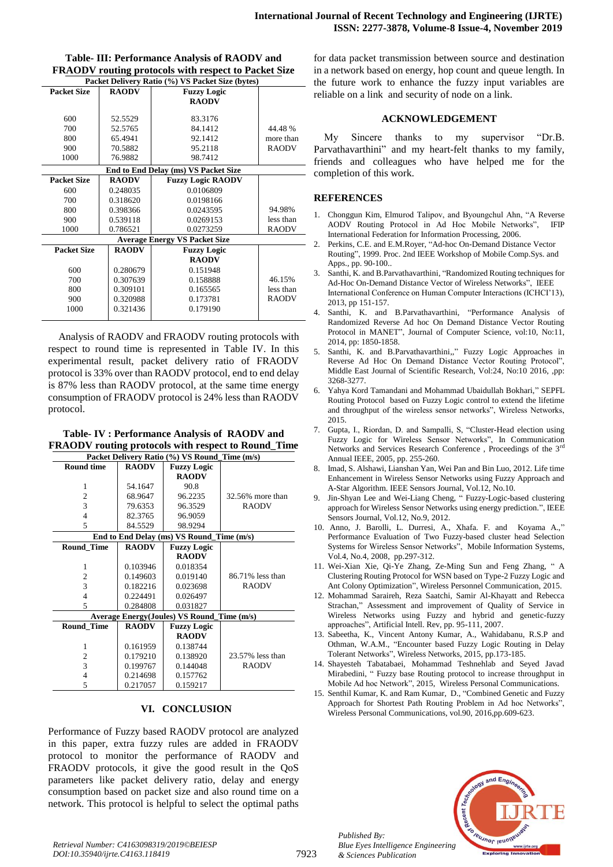| Table- III: Performance Analysis of RAODV and           |
|---------------------------------------------------------|
| FRAODV routing protocols with respect to Packet Size    |
| <b>Docket Delivery Dotio (%) VS Docket Size (bytes)</b> |

| Packet Delivery Ratio (%) VS Packet Size (bytes) |              |                                      |              |  |
|--------------------------------------------------|--------------|--------------------------------------|--------------|--|
| <b>Packet Size</b>                               | <b>RAODV</b> | <b>Fuzzy Logic</b>                   |              |  |
|                                                  |              | <b>RAODV</b>                         |              |  |
|                                                  |              |                                      |              |  |
| 600                                              | 52.5529      | 83.3176                              |              |  |
| 700                                              | 52.5765      | 84.1412                              | 44.48%       |  |
| 800                                              | 65.4941      | 92.1412                              | more than    |  |
| 900                                              | 70.5882      | 95.2118                              | <b>RAODV</b> |  |
| 1000                                             | 76.9882      | 98.7412                              |              |  |
|                                                  |              | End to End Delay (ms) VS Packet Size |              |  |
| <b>Packet Size</b>                               | <b>RAODV</b> | <b>Fuzzy Logic RAODV</b>             |              |  |
| 600                                              | 0.248035     | 0.0106809                            |              |  |
| 700                                              | 0.318620     | 0.0198166                            |              |  |
| 800                                              | 0.398366     | 0.0243595                            | 94.98%       |  |
| 900                                              | 0.539118     | 0.0269153                            | less than    |  |
| 1000                                             | 0.786521     | 0.0273259                            | <b>RAODV</b> |  |
| <b>Average Energy VS Packet Size</b>             |              |                                      |              |  |
| <b>Packet Size</b>                               | <b>RAODV</b> | <b>Fuzzy Logic</b>                   |              |  |
|                                                  |              | <b>RAODV</b>                         |              |  |
| 600                                              | 0.280679     | 0.151948                             |              |  |
| 700                                              | 0.307639     | 0.158888                             | 46.15%       |  |
| 800                                              | 0.309101     | 0.165565                             | less than    |  |
| 900                                              | 0.320988     | 0.173781                             | <b>RAODV</b> |  |
| 1000                                             | 0.321436     | 0.179190                             |              |  |
|                                                  |              |                                      |              |  |

Analysis of RAODV and FRAODV routing protocols with respect to round time is represented in Table IV. In this experimental result, packet delivery ratio of FRAODV protocol is 33% over than RAODV protocol, end to end delay is 87% less than RAODV protocol, at the same time energy consumption of FRAODV protocol is 24% less than RAODV protocol.

**Table- IV : Performance Analysis of RAODV and FRAODV routing protocols with respect to Round\_Time Packet Delivery Ratio (%) VS Round\_Time (m/s)**

| Packet Delively Katio (70) VS Kound Thine (1195) |                                                   |                                           |                  |  |  |  |
|--------------------------------------------------|---------------------------------------------------|-------------------------------------------|------------------|--|--|--|
| <b>Round time</b>                                | <b>RAODV</b>                                      | <b>Fuzzy Logic</b>                        |                  |  |  |  |
|                                                  |                                                   | <b>RAODV</b>                              |                  |  |  |  |
| 1                                                | 54.1647                                           | 90.8                                      |                  |  |  |  |
| $\mathbf{2}$                                     | 68.9647                                           | 96.2235                                   | 32.56% more than |  |  |  |
| $\overline{3}$                                   | 79.6353                                           | 96.3529                                   | <b>RAODV</b>     |  |  |  |
| $\overline{4}$                                   | 82.3765                                           | 96.9059                                   |                  |  |  |  |
| 5                                                | 84.5529                                           | 98.9294                                   |                  |  |  |  |
|                                                  |                                                   | End to End Delay (ms) VS Round Time (m/s) |                  |  |  |  |
| <b>Round Time</b>                                | <b>RAODV</b>                                      | <b>Fuzzy Logic</b>                        |                  |  |  |  |
|                                                  |                                                   | <b>RAODV</b>                              |                  |  |  |  |
| 1                                                | 0.103946                                          | 0.018354                                  |                  |  |  |  |
| $\overline{c}$                                   | 0.149603                                          | 0.019140                                  | 86.71% less than |  |  |  |
| 3                                                | 0.182216                                          | 0.023698                                  | <b>RAODV</b>     |  |  |  |
| $\overline{4}$                                   | 0.224491                                          | 0.026497                                  |                  |  |  |  |
| 5                                                | 0.284808                                          | 0.031827                                  |                  |  |  |  |
|                                                  | <b>Average Energy(Joules) VS Round_Time (m/s)</b> |                                           |                  |  |  |  |
| <b>Round Time</b>                                | <b>RAODV</b>                                      | <b>Fuzzy Logic</b>                        |                  |  |  |  |
|                                                  |                                                   | <b>RAODV</b>                              |                  |  |  |  |
| 1                                                | 0.161959                                          | 0.138744                                  |                  |  |  |  |
| $\overline{c}$                                   | 0.179210                                          | 0.138920                                  | 23.57% less than |  |  |  |
| 3                                                | 0.199767                                          | 0.144048                                  | <b>RAODV</b>     |  |  |  |
| $\overline{4}$                                   | 0.214698                                          | 0.157762                                  |                  |  |  |  |
| 5                                                | 0.217057                                          | 0.159217                                  |                  |  |  |  |

## **VI. CONCLUSION**

Performance of Fuzzy based RAODV protocol are analyzed in this paper, extra fuzzy rules are added in FRAODV protocol to monitor the performance of RAODV and FRAODV protocols, it give the good result in the QoS parameters like packet delivery ratio, delay and energy consumption based on packet size and also round time on a network. This protocol is helpful to select the optimal paths for data packet transmission between source and destination in a network based on energy, hop count and queue length. In the future work to enhance the fuzzy input variables are reliable on a link and security of node on a link.

## **ACKNOWLEDGEMENT**

My Sincere thanks to my supervisor "Dr.B. Parvathavarthini" and my heart-felt thanks to my family, friends and colleagues who have helped me for the completion of this work.

## **REFERENCES**

- 1. Chonggun Kim, Elmurod Talipov, and Byoungchul Ahn, "A Reverse AODV Routing Protocol in Ad Hoc Mobile Networks", IFIP International Federation for Information Processing, 2006.
- 2. Perkins, C.E. and E.M.Royer, "Ad-hoc On-Demand Distance Vector Routing", 1999. Proc. 2nd IEEE Workshop of Mobile Comp.Sys. and Apps., pp. 90-100..
- 3. Santhi, K. and B.Parvathavarthini, "Randomized Routing techniques for Ad-Hoc On-Demand Distance Vector of Wireless Networks", IEEE International Conference on Human Computer Interactions (ICHCI'13), 2013, pp 151-157.
- 4. Santhi, K. and B.Parvathavarthini, "Performance Analysis of Randomized Reverse Ad hoc On Demand Distance Vector Routing Protocol in MANET", Journal of Computer Science, vol:10, No:11, 2014, pp: 1850-1858.
- 5. Santhi, K. and B.Parvathavarthini,," Fuzzy Logic Approaches in Reverse Ad Hoc On Demand Distance Vector Routing Protocol", Middle East Journal of Scientific Research, Vol:24, No:10 2016, ,pp: 3268-3277.
- 6. Yahya Kord Tamandani and Mohammad Ubaidullah Bokhari," SEPFL Routing Protocol based on Fuzzy Logic control to extend the lifetime and throughput of the wireless sensor networks", Wireless Networks, 2015.
- 7. Gupta, I., Riordan, D. and Sampalli, S, "Cluster-Head election using Fuzzy Logic for Wireless Sensor Networks", In Communication Networks and Services Research Conference , Proceedings of the 3rd Annual IEEE, 2005, pp. 255-260.
- 8. Imad, S. Alshawi, Lianshan Yan, Wei Pan and Bin Luo, 2012. Life time Enhancement in Wireless Sensor Networks using Fuzzy Approach and A-Star Algorithm. IEEE Sensors Journal, Vol.12, No.10.
- 9. Jin-Shyan Lee and Wei-Liang Cheng, " Fuzzy-Logic-based clustering approach for Wireless Sensor Networks using energy prediction.", IEEE Sensors Journal, Vol.12, No.9, 2012.
- 10. Anno, J. Barolli, L. Durresi, A., Xhafa. F. and Koyama A.," Performance Evaluation of Two Fuzzy-based cluster head Selection Systems for Wireless Sensor Networks", Mobile Information Systems, Vol.4, No.4, 2008, pp.297-312.
- 11. Wei-Xian Xie, Qi-Ye Zhang, Ze-Ming Sun and Feng Zhang, " A Clustering Routing Protocol for WSN based on Type-2 Fuzzy Logic and Ant Colony Optimization", Wireless Personnel Communication, 2015.
- 12. Mohammad Saraireh, Reza Saatchi, Samir Al-Khayatt and Rebecca Strachan," Assessment and improvement of Quality of Service in Wireless Networks using Fuzzy and hybrid and genetic-fuzzy approaches", Artificial Intell. Rev, pp. 95-111, 2007.
- 13. Sabeetha, K., Vincent Antony Kumar, A., Wahidabanu, R.S.P and Othman, W.A.M., "Encounter based Fuzzy Logic Routing in Delay Tolerant Networks", Wireless Networks, 2015, pp.173-185.
- 14. Shayesteh Tabatabaei, Mohammad Teshnehlab and Seyed Javad Mirabedini, " Fuzzy base Routing protocol to increase throughput in Mobile Ad hoc Network", 2015, Wireless Personal Communications.
- 15. Senthil Kumar, K. and Ram Kumar, D., "Combined Genetic and Fuzzy Approach for Shortest Path Routing Problem in Ad hoc Networks", Wireless Personal Communications, vol.90, 2016,pp.609-623.



*Published By:*